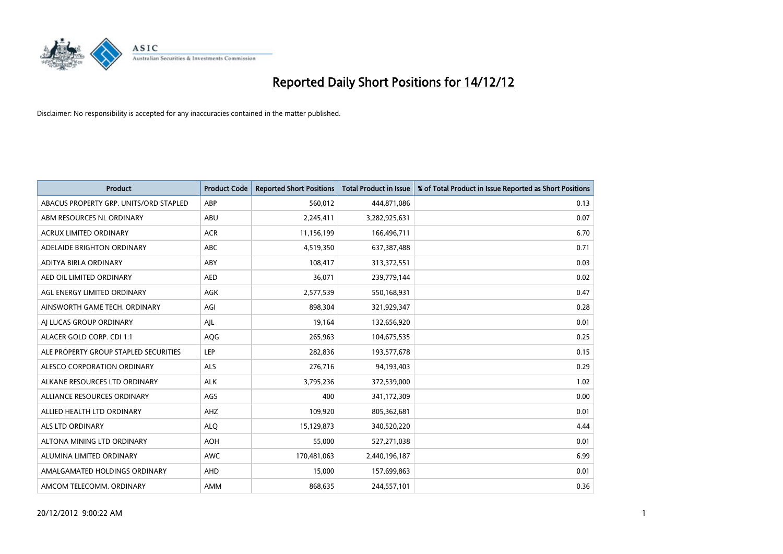

| <b>Product</b>                         | <b>Product Code</b> | <b>Reported Short Positions</b> | <b>Total Product in Issue</b> | % of Total Product in Issue Reported as Short Positions |
|----------------------------------------|---------------------|---------------------------------|-------------------------------|---------------------------------------------------------|
| ABACUS PROPERTY GRP. UNITS/ORD STAPLED | ABP                 | 560,012                         | 444,871,086                   | 0.13                                                    |
| ABM RESOURCES NL ORDINARY              | ABU                 | 2,245,411                       | 3,282,925,631                 | 0.07                                                    |
| <b>ACRUX LIMITED ORDINARY</b>          | <b>ACR</b>          | 11,156,199                      | 166,496,711                   | 6.70                                                    |
| ADELAIDE BRIGHTON ORDINARY             | <b>ABC</b>          | 4,519,350                       | 637, 387, 488                 | 0.71                                                    |
| ADITYA BIRLA ORDINARY                  | ABY                 | 108,417                         | 313,372,551                   | 0.03                                                    |
| AED OIL LIMITED ORDINARY               | <b>AED</b>          | 36,071                          | 239,779,144                   | 0.02                                                    |
| AGL ENERGY LIMITED ORDINARY            | <b>AGK</b>          | 2,577,539                       | 550,168,931                   | 0.47                                                    |
| AINSWORTH GAME TECH. ORDINARY          | AGI                 | 898,304                         | 321,929,347                   | 0.28                                                    |
| AI LUCAS GROUP ORDINARY                | AJL                 | 19,164                          | 132,656,920                   | 0.01                                                    |
| ALACER GOLD CORP. CDI 1:1              | AQG                 | 265,963                         | 104,675,535                   | 0.25                                                    |
| ALE PROPERTY GROUP STAPLED SECURITIES  | LEP                 | 282,836                         | 193,577,678                   | 0.15                                                    |
| ALESCO CORPORATION ORDINARY            | <b>ALS</b>          | 276,716                         | 94,193,403                    | 0.29                                                    |
| ALKANE RESOURCES LTD ORDINARY          | <b>ALK</b>          | 3,795,236                       | 372,539,000                   | 1.02                                                    |
| ALLIANCE RESOURCES ORDINARY            | AGS                 | 400                             | 341,172,309                   | 0.00                                                    |
| ALLIED HEALTH LTD ORDINARY             | <b>AHZ</b>          | 109,920                         | 805,362,681                   | 0.01                                                    |
| ALS LTD ORDINARY                       | <b>ALO</b>          | 15,129,873                      | 340,520,220                   | 4.44                                                    |
| ALTONA MINING LTD ORDINARY             | <b>AOH</b>          | 55,000                          | 527,271,038                   | 0.01                                                    |
| ALUMINA LIMITED ORDINARY               | <b>AWC</b>          | 170,481,063                     | 2,440,196,187                 | 6.99                                                    |
| AMALGAMATED HOLDINGS ORDINARY          | <b>AHD</b>          | 15,000                          | 157,699,863                   | 0.01                                                    |
| AMCOM TELECOMM, ORDINARY               | <b>AMM</b>          | 868.635                         | 244,557,101                   | 0.36                                                    |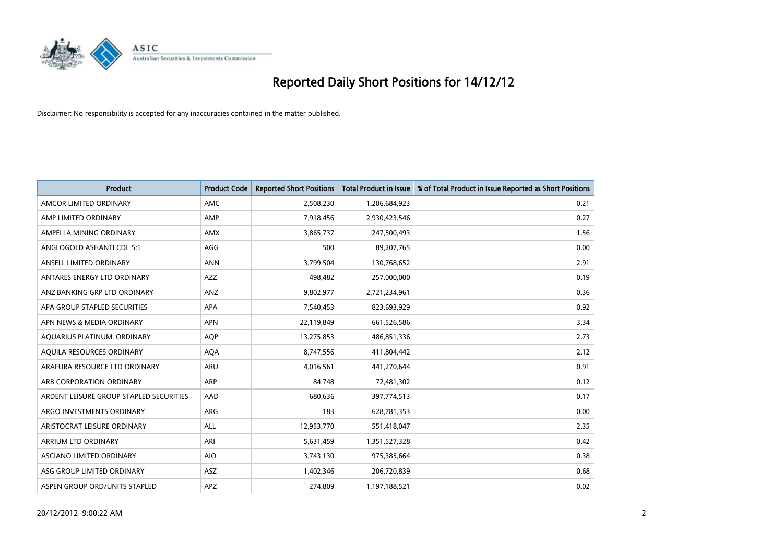

| <b>Product</b>                          | <b>Product Code</b> | <b>Reported Short Positions</b> | <b>Total Product in Issue</b> | % of Total Product in Issue Reported as Short Positions |
|-----------------------------------------|---------------------|---------------------------------|-------------------------------|---------------------------------------------------------|
| AMCOR LIMITED ORDINARY                  | AMC                 | 2,508,230                       | 1,206,684,923                 | 0.21                                                    |
| AMP LIMITED ORDINARY                    | AMP                 | 7,918,456                       | 2,930,423,546                 | 0.27                                                    |
| AMPELLA MINING ORDINARY                 | <b>AMX</b>          | 3,865,737                       | 247,500,493                   | 1.56                                                    |
| ANGLOGOLD ASHANTI CDI 5:1               | AGG                 | 500                             | 89,207,765                    | 0.00                                                    |
| ANSELL LIMITED ORDINARY                 | <b>ANN</b>          | 3,799,504                       | 130,768,652                   | 2.91                                                    |
| ANTARES ENERGY LTD ORDINARY             | <b>AZZ</b>          | 498,482                         | 257,000,000                   | 0.19                                                    |
| ANZ BANKING GRP LTD ORDINARY            | ANZ                 | 9,802,977                       | 2,721,234,961                 | 0.36                                                    |
| APA GROUP STAPLED SECURITIES            | <b>APA</b>          | 7,540,453                       | 823,693,929                   | 0.92                                                    |
| APN NEWS & MEDIA ORDINARY               | <b>APN</b>          | 22,119,849                      | 661,526,586                   | 3.34                                                    |
| AQUARIUS PLATINUM. ORDINARY             | <b>AOP</b>          | 13,275,853                      | 486,851,336                   | 2.73                                                    |
| AQUILA RESOURCES ORDINARY               | <b>AQA</b>          | 8,747,556                       | 411,804,442                   | 2.12                                                    |
| ARAFURA RESOURCE LTD ORDINARY           | ARU                 | 4,016,561                       | 441,270,644                   | 0.91                                                    |
| ARB CORPORATION ORDINARY                | <b>ARP</b>          | 84,748                          | 72,481,302                    | 0.12                                                    |
| ARDENT LEISURE GROUP STAPLED SECURITIES | AAD                 | 680,636                         | 397,774,513                   | 0.17                                                    |
| ARGO INVESTMENTS ORDINARY               | ARG                 | 183                             | 628,781,353                   | 0.00                                                    |
| ARISTOCRAT LEISURE ORDINARY             | <b>ALL</b>          | 12,953,770                      | 551,418,047                   | 2.35                                                    |
| ARRIUM LTD ORDINARY                     | ARI                 | 5,631,459                       | 1,351,527,328                 | 0.42                                                    |
| ASCIANO LIMITED ORDINARY                | <b>AIO</b>          | 3,743,130                       | 975,385,664                   | 0.38                                                    |
| ASG GROUP LIMITED ORDINARY              | ASZ                 | 1,402,346                       | 206,720,839                   | 0.68                                                    |
| ASPEN GROUP ORD/UNITS STAPLED           | <b>APZ</b>          | 274.809                         | 1,197,188,521                 | 0.02                                                    |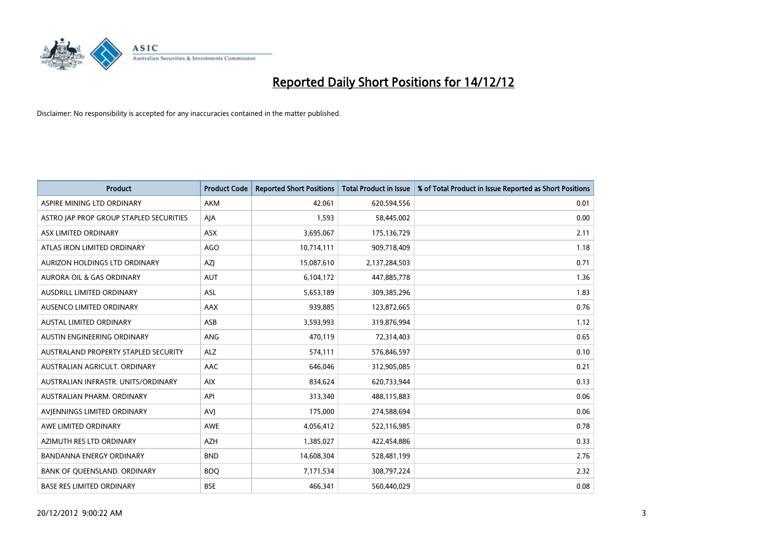

| <b>Product</b>                          | <b>Product Code</b> | <b>Reported Short Positions</b> | Total Product in Issue | % of Total Product in Issue Reported as Short Positions |
|-----------------------------------------|---------------------|---------------------------------|------------------------|---------------------------------------------------------|
| ASPIRE MINING LTD ORDINARY              | AKM                 | 42.061                          | 620,594,556            | 0.01                                                    |
| ASTRO JAP PROP GROUP STAPLED SECURITIES | AIA                 | 1,593                           | 58,445,002             | 0.00                                                    |
| ASX LIMITED ORDINARY                    | <b>ASX</b>          | 3,695,067                       | 175,136,729            | 2.11                                                    |
| ATLAS IRON LIMITED ORDINARY             | <b>AGO</b>          | 10,714,111                      | 909,718,409            | 1.18                                                    |
| AURIZON HOLDINGS LTD ORDINARY           | AZI                 | 15,087,610                      | 2,137,284,503          | 0.71                                                    |
| AURORA OIL & GAS ORDINARY               | <b>AUT</b>          | 6,104,172                       | 447,885,778            | 1.36                                                    |
| AUSDRILL LIMITED ORDINARY               | <b>ASL</b>          | 5,653,189                       | 309,385,296            | 1.83                                                    |
| AUSENCO LIMITED ORDINARY                | AAX                 | 939,885                         | 123,872,665            | 0.76                                                    |
| AUSTAL LIMITED ORDINARY                 | ASB                 | 3,593,993                       | 319,876,994            | 1.12                                                    |
| AUSTIN ENGINEERING ORDINARY             | <b>ANG</b>          | 470,119                         | 72,314,403             | 0.65                                                    |
| AUSTRALAND PROPERTY STAPLED SECURITY    | <b>ALZ</b>          | 574,111                         | 576,846,597            | 0.10                                                    |
| AUSTRALIAN AGRICULT, ORDINARY           | AAC                 | 646,046                         | 312,905,085            | 0.21                                                    |
| AUSTRALIAN INFRASTR. UNITS/ORDINARY     | <b>AIX</b>          | 834,624                         | 620,733,944            | 0.13                                                    |
| AUSTRALIAN PHARM, ORDINARY              | API                 | 313,340                         | 488,115,883            | 0.06                                                    |
| AVIENNINGS LIMITED ORDINARY             | <b>AVI</b>          | 175,000                         | 274,588,694            | 0.06                                                    |
| AWE LIMITED ORDINARY                    | AWE                 | 4,056,412                       | 522,116,985            | 0.78                                                    |
| AZIMUTH RES LTD ORDINARY                | <b>AZH</b>          | 1,385,027                       | 422,454,886            | 0.33                                                    |
| <b>BANDANNA ENERGY ORDINARY</b>         | <b>BND</b>          | 14,608,304                      | 528,481,199            | 2.76                                                    |
| BANK OF OUEENSLAND, ORDINARY            | <b>BOQ</b>          | 7,171,534                       | 308,797,224            | 2.32                                                    |
| <b>BASE RES LIMITED ORDINARY</b>        | <b>BSE</b>          | 466.341                         | 560,440,029            | 0.08                                                    |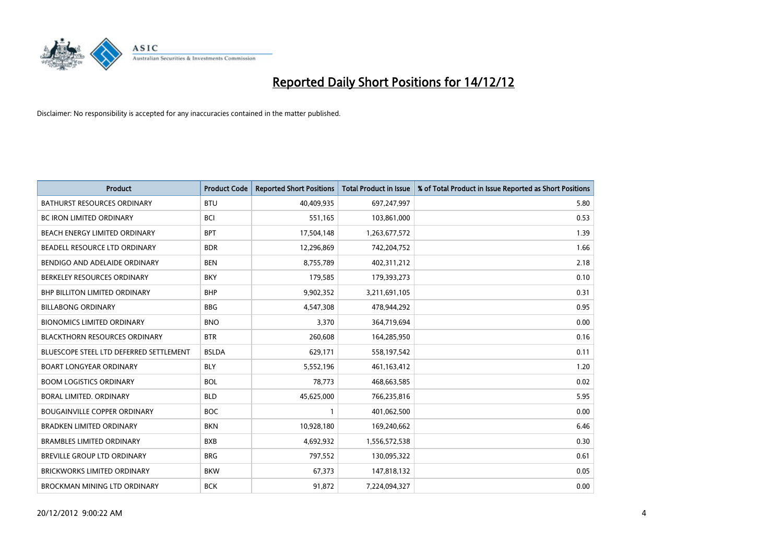

| <b>Product</b>                          | <b>Product Code</b> | <b>Reported Short Positions</b> | <b>Total Product in Issue</b> | % of Total Product in Issue Reported as Short Positions |
|-----------------------------------------|---------------------|---------------------------------|-------------------------------|---------------------------------------------------------|
| <b>BATHURST RESOURCES ORDINARY</b>      | <b>BTU</b>          | 40,409,935                      | 697,247,997                   | 5.80                                                    |
| BC IRON LIMITED ORDINARY                | <b>BCI</b>          | 551,165                         | 103,861,000                   | 0.53                                                    |
| <b>BEACH ENERGY LIMITED ORDINARY</b>    | <b>BPT</b>          | 17,504,148                      | 1,263,677,572                 | 1.39                                                    |
| BEADELL RESOURCE LTD ORDINARY           | <b>BDR</b>          | 12,296,869                      | 742,204,752                   | 1.66                                                    |
| BENDIGO AND ADELAIDE ORDINARY           | <b>BEN</b>          | 8,755,789                       | 402,311,212                   | 2.18                                                    |
| BERKELEY RESOURCES ORDINARY             | <b>BKY</b>          | 179,585                         | 179,393,273                   | 0.10                                                    |
| <b>BHP BILLITON LIMITED ORDINARY</b>    | <b>BHP</b>          | 9,902,352                       | 3,211,691,105                 | 0.31                                                    |
| <b>BILLABONG ORDINARY</b>               | <b>BBG</b>          | 4,547,308                       | 478,944,292                   | 0.95                                                    |
| <b>BIONOMICS LIMITED ORDINARY</b>       | <b>BNO</b>          | 3,370                           | 364,719,694                   | 0.00                                                    |
| <b>BLACKTHORN RESOURCES ORDINARY</b>    | <b>BTR</b>          | 260,608                         | 164,285,950                   | 0.16                                                    |
| BLUESCOPE STEEL LTD DEFERRED SETTLEMENT | <b>BSLDA</b>        | 629,171                         | 558,197,542                   | 0.11                                                    |
| <b>BOART LONGYEAR ORDINARY</b>          | <b>BLY</b>          | 5,552,196                       | 461,163,412                   | 1.20                                                    |
| <b>BOOM LOGISTICS ORDINARY</b>          | <b>BOL</b>          | 78,773                          | 468,663,585                   | 0.02                                                    |
| BORAL LIMITED, ORDINARY                 | <b>BLD</b>          | 45,625,000                      | 766,235,816                   | 5.95                                                    |
| <b>BOUGAINVILLE COPPER ORDINARY</b>     | <b>BOC</b>          |                                 | 401,062,500                   | 0.00                                                    |
| <b>BRADKEN LIMITED ORDINARY</b>         | <b>BKN</b>          | 10,928,180                      | 169,240,662                   | 6.46                                                    |
| <b>BRAMBLES LIMITED ORDINARY</b>        | <b>BXB</b>          | 4,692,932                       | 1,556,572,538                 | 0.30                                                    |
| BREVILLE GROUP LTD ORDINARY             | <b>BRG</b>          | 797,552                         | 130,095,322                   | 0.61                                                    |
| <b>BRICKWORKS LIMITED ORDINARY</b>      | <b>BKW</b>          | 67,373                          | 147,818,132                   | 0.05                                                    |
| BROCKMAN MINING LTD ORDINARY            | <b>BCK</b>          | 91,872                          | 7,224,094,327                 | 0.00                                                    |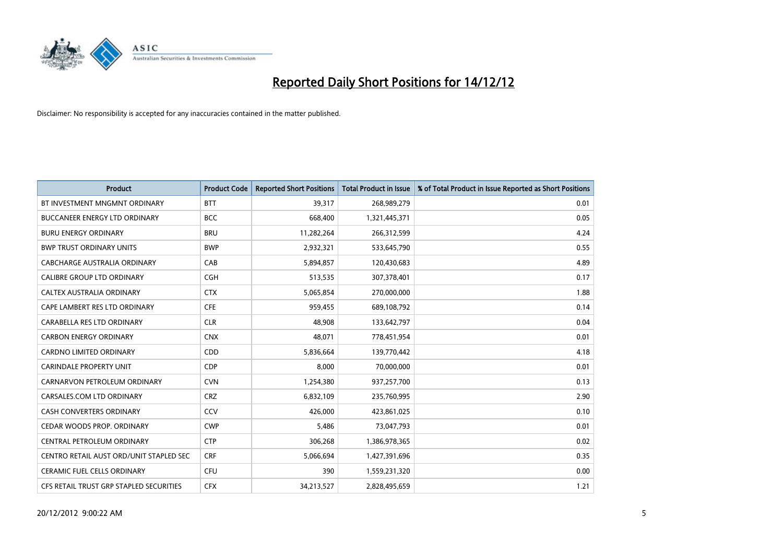

| <b>Product</b>                          | <b>Product Code</b> | <b>Reported Short Positions</b> | Total Product in Issue | % of Total Product in Issue Reported as Short Positions |
|-----------------------------------------|---------------------|---------------------------------|------------------------|---------------------------------------------------------|
| BT INVESTMENT MNGMNT ORDINARY           | <b>BTT</b>          | 39,317                          | 268,989,279            | 0.01                                                    |
| <b>BUCCANEER ENERGY LTD ORDINARY</b>    | <b>BCC</b>          | 668,400                         | 1,321,445,371          | 0.05                                                    |
| <b>BURU ENERGY ORDINARY</b>             | <b>BRU</b>          | 11,282,264                      | 266,312,599            | 4.24                                                    |
| <b>BWP TRUST ORDINARY UNITS</b>         | <b>BWP</b>          | 2,932,321                       | 533,645,790            | 0.55                                                    |
| CABCHARGE AUSTRALIA ORDINARY            | CAB                 | 5,894,857                       | 120,430,683            | 4.89                                                    |
| CALIBRE GROUP LTD ORDINARY              | <b>CGH</b>          | 513,535                         | 307,378,401            | 0.17                                                    |
| CALTEX AUSTRALIA ORDINARY               | <b>CTX</b>          | 5,065,854                       | 270,000,000            | 1.88                                                    |
| CAPE LAMBERT RES LTD ORDINARY           | <b>CFE</b>          | 959,455                         | 689,108,792            | 0.14                                                    |
| CARABELLA RES LTD ORDINARY              | <b>CLR</b>          | 48.908                          | 133,642,797            | 0.04                                                    |
| <b>CARBON ENERGY ORDINARY</b>           | <b>CNX</b>          | 48,071                          | 778,451,954            | 0.01                                                    |
| <b>CARDNO LIMITED ORDINARY</b>          | <b>CDD</b>          | 5,836,664                       | 139,770,442            | 4.18                                                    |
| <b>CARINDALE PROPERTY UNIT</b>          | <b>CDP</b>          | 8,000                           | 70,000,000             | 0.01                                                    |
| CARNARVON PETROLEUM ORDINARY            | <b>CVN</b>          | 1,254,380                       | 937,257,700            | 0.13                                                    |
| CARSALES.COM LTD ORDINARY               | <b>CRZ</b>          | 6,832,109                       | 235,760,995            | 2.90                                                    |
| <b>CASH CONVERTERS ORDINARY</b>         | CCV                 | 426.000                         | 423,861,025            | 0.10                                                    |
| CEDAR WOODS PROP. ORDINARY              | <b>CWP</b>          | 5,486                           | 73,047,793             | 0.01                                                    |
| CENTRAL PETROLEUM ORDINARY              | <b>CTP</b>          | 306,268                         | 1,386,978,365          | 0.02                                                    |
| CENTRO RETAIL AUST ORD/UNIT STAPLED SEC | <b>CRF</b>          | 5,066,694                       | 1,427,391,696          | 0.35                                                    |
| <b>CERAMIC FUEL CELLS ORDINARY</b>      | CFU                 | 390                             | 1,559,231,320          | 0.00                                                    |
| CFS RETAIL TRUST GRP STAPLED SECURITIES | <b>CFX</b>          | 34,213,527                      | 2,828,495,659          | 1.21                                                    |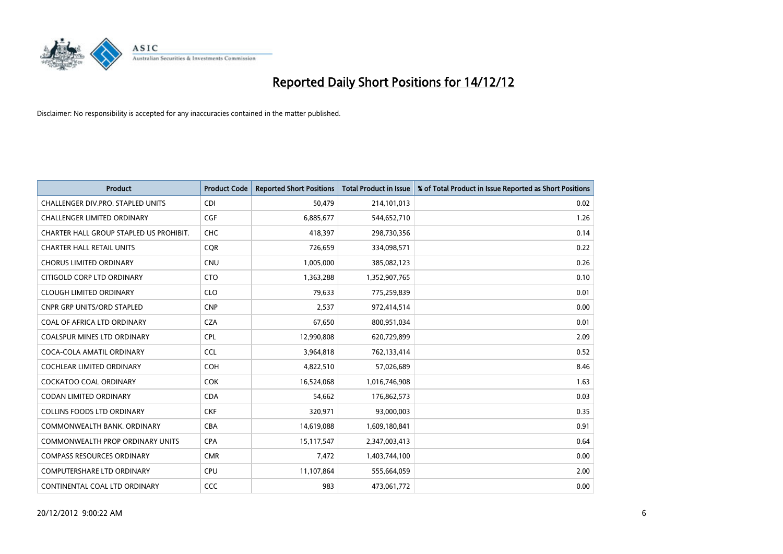

| <b>Product</b>                          | <b>Product Code</b> | <b>Reported Short Positions</b> | <b>Total Product in Issue</b> | % of Total Product in Issue Reported as Short Positions |
|-----------------------------------------|---------------------|---------------------------------|-------------------------------|---------------------------------------------------------|
| CHALLENGER DIV.PRO. STAPLED UNITS       | <b>CDI</b>          | 50,479                          | 214,101,013                   | 0.02                                                    |
| <b>CHALLENGER LIMITED ORDINARY</b>      | <b>CGF</b>          | 6,885,677                       | 544,652,710                   | 1.26                                                    |
| CHARTER HALL GROUP STAPLED US PROHIBIT. | <b>CHC</b>          | 418,397                         | 298,730,356                   | 0.14                                                    |
| <b>CHARTER HALL RETAIL UNITS</b>        | <b>COR</b>          | 726,659                         | 334,098,571                   | 0.22                                                    |
| <b>CHORUS LIMITED ORDINARY</b>          | <b>CNU</b>          | 1,005,000                       | 385,082,123                   | 0.26                                                    |
| CITIGOLD CORP LTD ORDINARY              | <b>CTO</b>          | 1,363,288                       | 1,352,907,765                 | 0.10                                                    |
| <b>CLOUGH LIMITED ORDINARY</b>          | <b>CLO</b>          | 79.633                          | 775,259,839                   | 0.01                                                    |
| <b>CNPR GRP UNITS/ORD STAPLED</b>       | <b>CNP</b>          | 2,537                           | 972,414,514                   | 0.00                                                    |
| COAL OF AFRICA LTD ORDINARY             | <b>CZA</b>          | 67,650                          | 800,951,034                   | 0.01                                                    |
| <b>COALSPUR MINES LTD ORDINARY</b>      | <b>CPL</b>          | 12,990,808                      | 620,729,899                   | 2.09                                                    |
| COCA-COLA AMATIL ORDINARY               | <b>CCL</b>          | 3,964,818                       | 762,133,414                   | 0.52                                                    |
| <b>COCHLEAR LIMITED ORDINARY</b>        | <b>COH</b>          | 4,822,510                       | 57,026,689                    | 8.46                                                    |
| <b>COCKATOO COAL ORDINARY</b>           | COK                 | 16,524,068                      | 1,016,746,908                 | 1.63                                                    |
| <b>CODAN LIMITED ORDINARY</b>           | <b>CDA</b>          | 54,662                          | 176,862,573                   | 0.03                                                    |
| <b>COLLINS FOODS LTD ORDINARY</b>       | <b>CKF</b>          | 320,971                         | 93,000,003                    | 0.35                                                    |
| COMMONWEALTH BANK, ORDINARY             | <b>CBA</b>          | 14,619,088                      | 1,609,180,841                 | 0.91                                                    |
| <b>COMMONWEALTH PROP ORDINARY UNITS</b> | <b>CPA</b>          | 15,117,547                      | 2,347,003,413                 | 0.64                                                    |
| <b>COMPASS RESOURCES ORDINARY</b>       | <b>CMR</b>          | 7,472                           | 1,403,744,100                 | 0.00                                                    |
| <b>COMPUTERSHARE LTD ORDINARY</b>       | <b>CPU</b>          | 11,107,864                      | 555,664,059                   | 2.00                                                    |
| CONTINENTAL COAL LTD ORDINARY           | CCC                 | 983                             | 473,061,772                   | 0.00                                                    |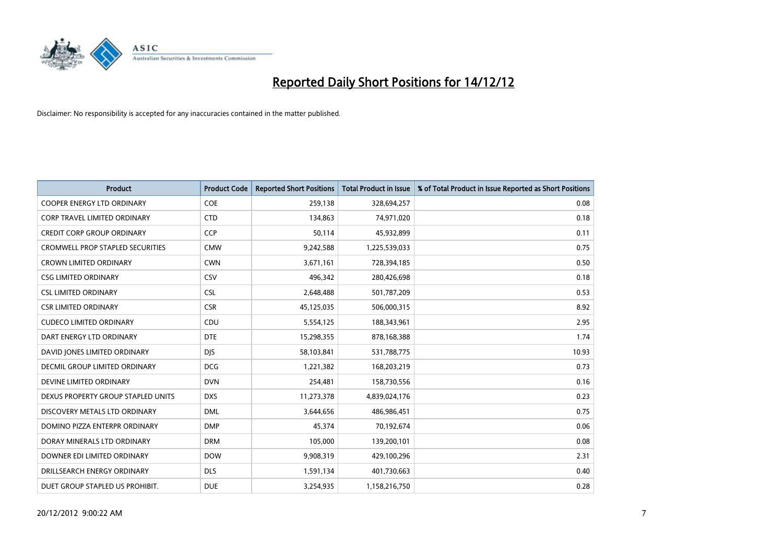

| <b>Product</b>                          | <b>Product Code</b> | <b>Reported Short Positions</b> | <b>Total Product in Issue</b> | % of Total Product in Issue Reported as Short Positions |
|-----------------------------------------|---------------------|---------------------------------|-------------------------------|---------------------------------------------------------|
| <b>COOPER ENERGY LTD ORDINARY</b>       | <b>COE</b>          | 259,138                         | 328,694,257                   | 0.08                                                    |
| CORP TRAVEL LIMITED ORDINARY            | <b>CTD</b>          | 134,863                         | 74,971,020                    | 0.18                                                    |
| <b>CREDIT CORP GROUP ORDINARY</b>       | <b>CCP</b>          | 50,114                          | 45,932,899                    | 0.11                                                    |
| <b>CROMWELL PROP STAPLED SECURITIES</b> | <b>CMW</b>          | 9,242,588                       | 1,225,539,033                 | 0.75                                                    |
| <b>CROWN LIMITED ORDINARY</b>           | <b>CWN</b>          | 3,671,161                       | 728,394,185                   | 0.50                                                    |
| <b>CSG LIMITED ORDINARY</b>             | CSV                 | 496,342                         | 280,426,698                   | 0.18                                                    |
| <b>CSL LIMITED ORDINARY</b>             | <b>CSL</b>          | 2,648,488                       | 501,787,209                   | 0.53                                                    |
| <b>CSR LIMITED ORDINARY</b>             | <b>CSR</b>          | 45,125,035                      | 506,000,315                   | 8.92                                                    |
| <b>CUDECO LIMITED ORDINARY</b>          | CDU                 | 5,554,125                       | 188,343,961                   | 2.95                                                    |
| DART ENERGY LTD ORDINARY                | <b>DTE</b>          | 15,298,355                      | 878,168,388                   | 1.74                                                    |
| DAVID JONES LIMITED ORDINARY            | <b>DJS</b>          | 58,103,841                      | 531,788,775                   | 10.93                                                   |
| <b>DECMIL GROUP LIMITED ORDINARY</b>    | <b>DCG</b>          | 1,221,382                       | 168,203,219                   | 0.73                                                    |
| DEVINE LIMITED ORDINARY                 | <b>DVN</b>          | 254,481                         | 158,730,556                   | 0.16                                                    |
| DEXUS PROPERTY GROUP STAPLED UNITS      | <b>DXS</b>          | 11,273,378                      | 4,839,024,176                 | 0.23                                                    |
| DISCOVERY METALS LTD ORDINARY           | <b>DML</b>          | 3,644,656                       | 486,986,451                   | 0.75                                                    |
| DOMINO PIZZA ENTERPR ORDINARY           | <b>DMP</b>          | 45,374                          | 70,192,674                    | 0.06                                                    |
| DORAY MINERALS LTD ORDINARY             | <b>DRM</b>          | 105,000                         | 139,200,101                   | 0.08                                                    |
| DOWNER EDI LIMITED ORDINARY             | <b>DOW</b>          | 9,908,319                       | 429,100,296                   | 2.31                                                    |
| DRILLSEARCH ENERGY ORDINARY             | <b>DLS</b>          | 1,591,134                       | 401,730,663                   | 0.40                                                    |
| DUET GROUP STAPLED US PROHIBIT.         | <b>DUE</b>          | 3,254,935                       | 1,158,216,750                 | 0.28                                                    |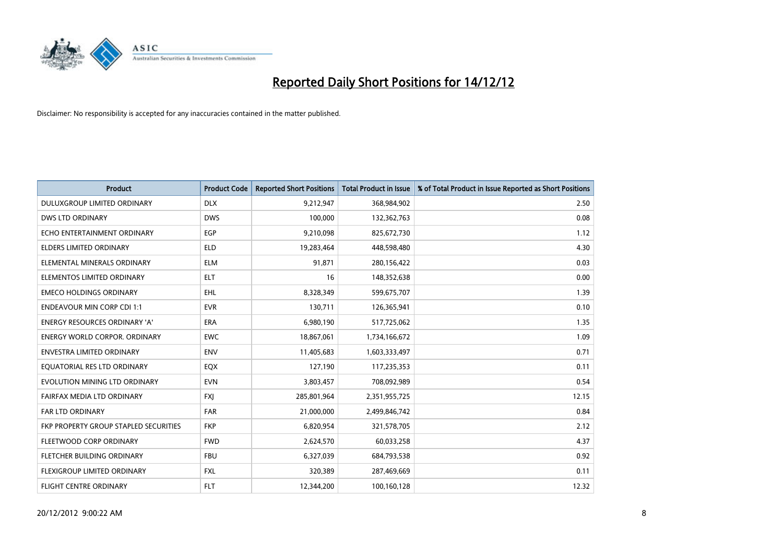

| <b>Product</b>                        | <b>Product Code</b> | <b>Reported Short Positions</b> | <b>Total Product in Issue</b> | % of Total Product in Issue Reported as Short Positions |
|---------------------------------------|---------------------|---------------------------------|-------------------------------|---------------------------------------------------------|
| DULUXGROUP LIMITED ORDINARY           | <b>DLX</b>          | 9,212,947                       | 368,984,902                   | 2.50                                                    |
| <b>DWS LTD ORDINARY</b>               | <b>DWS</b>          | 100.000                         | 132,362,763                   | 0.08                                                    |
| ECHO ENTERTAINMENT ORDINARY           | EGP                 | 9,210,098                       | 825,672,730                   | 1.12                                                    |
| ELDERS LIMITED ORDINARY               | <b>ELD</b>          | 19,283,464                      | 448,598,480                   | 4.30                                                    |
| ELEMENTAL MINERALS ORDINARY           | <b>ELM</b>          | 91,871                          | 280,156,422                   | 0.03                                                    |
| ELEMENTOS LIMITED ORDINARY            | <b>ELT</b>          | 16                              | 148,352,638                   | 0.00                                                    |
| <b>EMECO HOLDINGS ORDINARY</b>        | <b>EHL</b>          | 8,328,349                       | 599,675,707                   | 1.39                                                    |
| <b>ENDEAVOUR MIN CORP CDI 1:1</b>     | <b>EVR</b>          | 130,711                         | 126,365,941                   | 0.10                                                    |
| ENERGY RESOURCES ORDINARY 'A'         | <b>ERA</b>          | 6,980,190                       | 517,725,062                   | 1.35                                                    |
| <b>ENERGY WORLD CORPOR, ORDINARY</b>  | <b>EWC</b>          | 18,867,061                      | 1,734,166,672                 | 1.09                                                    |
| <b>ENVESTRA LIMITED ORDINARY</b>      | <b>ENV</b>          | 11,405,683                      | 1,603,333,497                 | 0.71                                                    |
| EQUATORIAL RES LTD ORDINARY           | EQX                 | 127,190                         | 117,235,353                   | 0.11                                                    |
| EVOLUTION MINING LTD ORDINARY         | <b>EVN</b>          | 3,803,457                       | 708,092,989                   | 0.54                                                    |
| FAIRFAX MEDIA LTD ORDINARY            | <b>FXI</b>          | 285,801,964                     | 2,351,955,725                 | 12.15                                                   |
| <b>FAR LTD ORDINARY</b>               | <b>FAR</b>          | 21,000,000                      | 2,499,846,742                 | 0.84                                                    |
| FKP PROPERTY GROUP STAPLED SECURITIES | <b>FKP</b>          | 6,820,954                       | 321,578,705                   | 2.12                                                    |
| FLEETWOOD CORP ORDINARY               | <b>FWD</b>          | 2,624,570                       | 60,033,258                    | 4.37                                                    |
| FLETCHER BUILDING ORDINARY            | <b>FBU</b>          | 6,327,039                       | 684,793,538                   | 0.92                                                    |
| <b>FLEXIGROUP LIMITED ORDINARY</b>    | <b>FXL</b>          | 320,389                         | 287,469,669                   | 0.11                                                    |
| <b>FLIGHT CENTRE ORDINARY</b>         | <b>FLT</b>          | 12,344,200                      | 100,160,128                   | 12.32                                                   |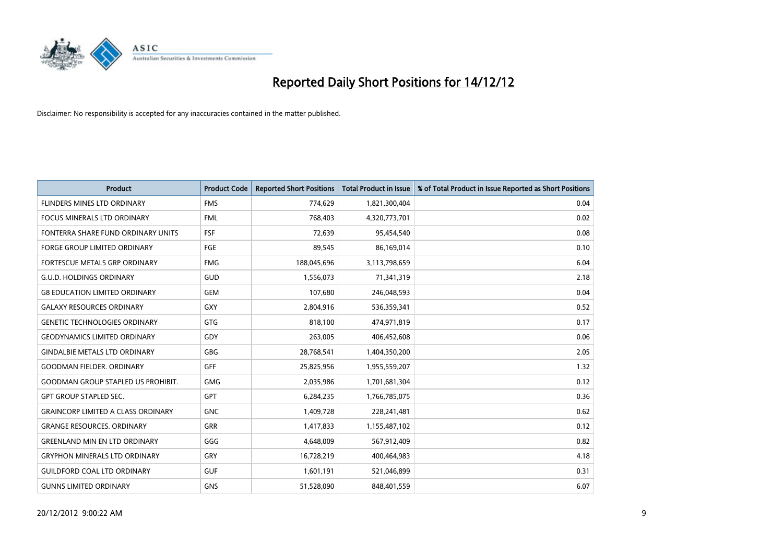

| <b>Product</b>                            | <b>Product Code</b> | <b>Reported Short Positions</b> | <b>Total Product in Issue</b> | % of Total Product in Issue Reported as Short Positions |
|-------------------------------------------|---------------------|---------------------------------|-------------------------------|---------------------------------------------------------|
| FLINDERS MINES LTD ORDINARY               | <b>FMS</b>          | 774,629                         | 1,821,300,404                 | 0.04                                                    |
| <b>FOCUS MINERALS LTD ORDINARY</b>        | <b>FML</b>          | 768,403                         | 4,320,773,701                 | 0.02                                                    |
| FONTERRA SHARE FUND ORDINARY UNITS        | <b>FSF</b>          | 72,639                          | 95,454,540                    | 0.08                                                    |
| FORGE GROUP LIMITED ORDINARY              | <b>FGE</b>          | 89,545                          | 86,169,014                    | 0.10                                                    |
| <b>FORTESCUE METALS GRP ORDINARY</b>      | <b>FMG</b>          | 188,045,696                     | 3,113,798,659                 | 6.04                                                    |
| <b>G.U.D. HOLDINGS ORDINARY</b>           | <b>GUD</b>          | 1,556,073                       | 71,341,319                    | 2.18                                                    |
| <b>G8 EDUCATION LIMITED ORDINARY</b>      | <b>GEM</b>          | 107.680                         | 246,048,593                   | 0.04                                                    |
| <b>GALAXY RESOURCES ORDINARY</b>          | GXY                 | 2,804,916                       | 536,359,341                   | 0.52                                                    |
| <b>GENETIC TECHNOLOGIES ORDINARY</b>      | <b>GTG</b>          | 818,100                         | 474,971,819                   | 0.17                                                    |
| <b>GEODYNAMICS LIMITED ORDINARY</b>       | GDY                 | 263,005                         | 406,452,608                   | 0.06                                                    |
| <b>GINDALBIE METALS LTD ORDINARY</b>      | <b>GBG</b>          | 28,768,541                      | 1,404,350,200                 | 2.05                                                    |
| <b>GOODMAN FIELDER, ORDINARY</b>          | <b>GFF</b>          | 25,825,956                      | 1,955,559,207                 | 1.32                                                    |
| <b>GOODMAN GROUP STAPLED US PROHIBIT.</b> | <b>GMG</b>          | 2,035,986                       | 1,701,681,304                 | 0.12                                                    |
| <b>GPT GROUP STAPLED SEC.</b>             | GPT                 | 6,284,235                       | 1,766,785,075                 | 0.36                                                    |
| <b>GRAINCORP LIMITED A CLASS ORDINARY</b> | <b>GNC</b>          | 1,409,728                       | 228,241,481                   | 0.62                                                    |
| <b>GRANGE RESOURCES, ORDINARY</b>         | <b>GRR</b>          | 1,417,833                       | 1,155,487,102                 | 0.12                                                    |
| <b>GREENLAND MIN EN LTD ORDINARY</b>      | GGG                 | 4,648,009                       | 567,912,409                   | 0.82                                                    |
| <b>GRYPHON MINERALS LTD ORDINARY</b>      | GRY                 | 16,728,219                      | 400,464,983                   | 4.18                                                    |
| <b>GUILDFORD COAL LTD ORDINARY</b>        | <b>GUF</b>          | 1,601,191                       | 521,046,899                   | 0.31                                                    |
| <b>GUNNS LIMITED ORDINARY</b>             | <b>GNS</b>          | 51,528,090                      | 848.401.559                   | 6.07                                                    |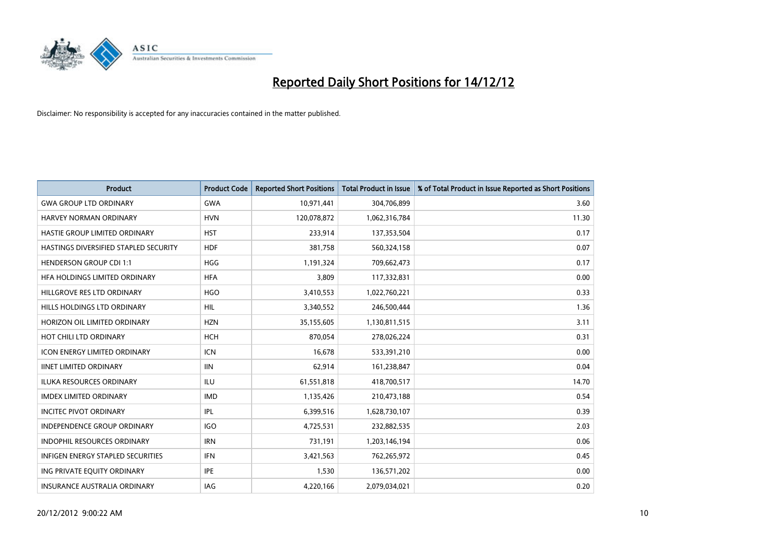

| <b>Product</b>                        | <b>Product Code</b> | <b>Reported Short Positions</b> | <b>Total Product in Issue</b> | % of Total Product in Issue Reported as Short Positions |
|---------------------------------------|---------------------|---------------------------------|-------------------------------|---------------------------------------------------------|
| <b>GWA GROUP LTD ORDINARY</b>         | <b>GWA</b>          | 10,971,441                      | 304,706,899                   | 3.60                                                    |
| HARVEY NORMAN ORDINARY                | <b>HVN</b>          | 120,078,872                     | 1,062,316,784                 | 11.30                                                   |
| <b>HASTIE GROUP LIMITED ORDINARY</b>  | <b>HST</b>          | 233,914                         | 137,353,504                   | 0.17                                                    |
| HASTINGS DIVERSIFIED STAPLED SECURITY | <b>HDF</b>          | 381,758                         | 560,324,158                   | 0.07                                                    |
| <b>HENDERSON GROUP CDI 1:1</b>        | <b>HGG</b>          | 1,191,324                       | 709,662,473                   | 0.17                                                    |
| HEA HOLDINGS LIMITED ORDINARY         | <b>HFA</b>          | 3,809                           | 117,332,831                   | 0.00                                                    |
| HILLGROVE RES LTD ORDINARY            | <b>HGO</b>          | 3,410,553                       | 1,022,760,221                 | 0.33                                                    |
| HILLS HOLDINGS LTD ORDINARY           | <b>HIL</b>          | 3,340,552                       | 246,500,444                   | 1.36                                                    |
| HORIZON OIL LIMITED ORDINARY          | <b>HZN</b>          | 35,155,605                      | 1,130,811,515                 | 3.11                                                    |
| HOT CHILI LTD ORDINARY                | <b>HCH</b>          | 870,054                         | 278,026,224                   | 0.31                                                    |
| <b>ICON ENERGY LIMITED ORDINARY</b>   | <b>ICN</b>          | 16,678                          | 533,391,210                   | 0.00                                                    |
| <b>IINET LIMITED ORDINARY</b>         | <b>IIN</b>          | 62,914                          | 161,238,847                   | 0.04                                                    |
| ILUKA RESOURCES ORDINARY              | ILU                 | 61,551,818                      | 418,700,517                   | 14.70                                                   |
| <b>IMDEX LIMITED ORDINARY</b>         | <b>IMD</b>          | 1,135,426                       | 210,473,188                   | 0.54                                                    |
| <b>INCITEC PIVOT ORDINARY</b>         | IPL                 | 6,399,516                       | 1,628,730,107                 | 0.39                                                    |
| INDEPENDENCE GROUP ORDINARY           | <b>IGO</b>          | 4,725,531                       | 232,882,535                   | 2.03                                                    |
| <b>INDOPHIL RESOURCES ORDINARY</b>    | <b>IRN</b>          | 731,191                         | 1,203,146,194                 | 0.06                                                    |
| INFIGEN ENERGY STAPLED SECURITIES     | <b>IFN</b>          | 3,421,563                       | 762,265,972                   | 0.45                                                    |
| ING PRIVATE EQUITY ORDINARY           | <b>IPE</b>          | 1,530                           | 136,571,202                   | 0.00                                                    |
| <b>INSURANCE AUSTRALIA ORDINARY</b>   | IAG                 | 4.220.166                       | 2,079,034,021                 | 0.20                                                    |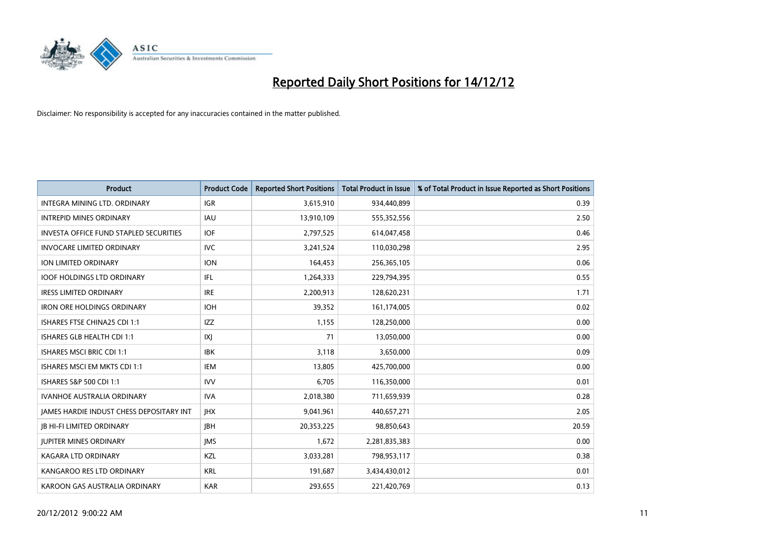

| <b>Product</b>                                  | <b>Product Code</b> | <b>Reported Short Positions</b> | <b>Total Product in Issue</b> | % of Total Product in Issue Reported as Short Positions |
|-------------------------------------------------|---------------------|---------------------------------|-------------------------------|---------------------------------------------------------|
| <b>INTEGRA MINING LTD, ORDINARY</b>             | <b>IGR</b>          | 3,615,910                       | 934,440,899                   | 0.39                                                    |
| <b>INTREPID MINES ORDINARY</b>                  | <b>IAU</b>          | 13,910,109                      | 555,352,556                   | 2.50                                                    |
| <b>INVESTA OFFICE FUND STAPLED SECURITIES</b>   | <b>IOF</b>          | 2,797,525                       | 614,047,458                   | 0.46                                                    |
| <b>INVOCARE LIMITED ORDINARY</b>                | <b>IVC</b>          | 3,241,524                       | 110,030,298                   | 2.95                                                    |
| <b>ION LIMITED ORDINARY</b>                     | <b>ION</b>          | 164,453                         | 256,365,105                   | 0.06                                                    |
| <b>IOOF HOLDINGS LTD ORDINARY</b>               | IFL.                | 1,264,333                       | 229,794,395                   | 0.55                                                    |
| <b>IRESS LIMITED ORDINARY</b>                   | <b>IRE</b>          | 2,200,913                       | 128,620,231                   | 1.71                                                    |
| <b>IRON ORE HOLDINGS ORDINARY</b>               | <b>IOH</b>          | 39,352                          | 161,174,005                   | 0.02                                                    |
| ISHARES FTSE CHINA25 CDI 1:1                    | <b>IZZ</b>          | 1,155                           | 128,250,000                   | 0.00                                                    |
| ISHARES GLB HEALTH CDI 1:1                      | X                   | 71                              | 13,050,000                    | 0.00                                                    |
| ISHARES MSCI BRIC CDI 1:1                       | <b>IBK</b>          | 3,118                           | 3,650,000                     | 0.09                                                    |
| ISHARES MSCI EM MKTS CDI 1:1                    | IEM                 | 13,805                          | 425,700,000                   | 0.00                                                    |
| ISHARES S&P 500 CDI 1:1                         | <b>IVV</b>          | 6,705                           | 116,350,000                   | 0.01                                                    |
| <b>IVANHOE AUSTRALIA ORDINARY</b>               | <b>IVA</b>          | 2,018,380                       | 711,659,939                   | 0.28                                                    |
| <b>JAMES HARDIE INDUST CHESS DEPOSITARY INT</b> | <b>IHX</b>          | 9,041,961                       | 440,657,271                   | 2.05                                                    |
| <b>IB HI-FI LIMITED ORDINARY</b>                | <b>IBH</b>          | 20,353,225                      | 98,850,643                    | 20.59                                                   |
| <b>JUPITER MINES ORDINARY</b>                   | <b>IMS</b>          | 1,672                           | 2,281,835,383                 | 0.00                                                    |
| <b>KAGARA LTD ORDINARY</b>                      | <b>KZL</b>          | 3,033,281                       | 798,953,117                   | 0.38                                                    |
| KANGAROO RES LTD ORDINARY                       | <b>KRL</b>          | 191,687                         | 3,434,430,012                 | 0.01                                                    |
| KAROON GAS AUSTRALIA ORDINARY                   | <b>KAR</b>          | 293,655                         | 221,420,769                   | 0.13                                                    |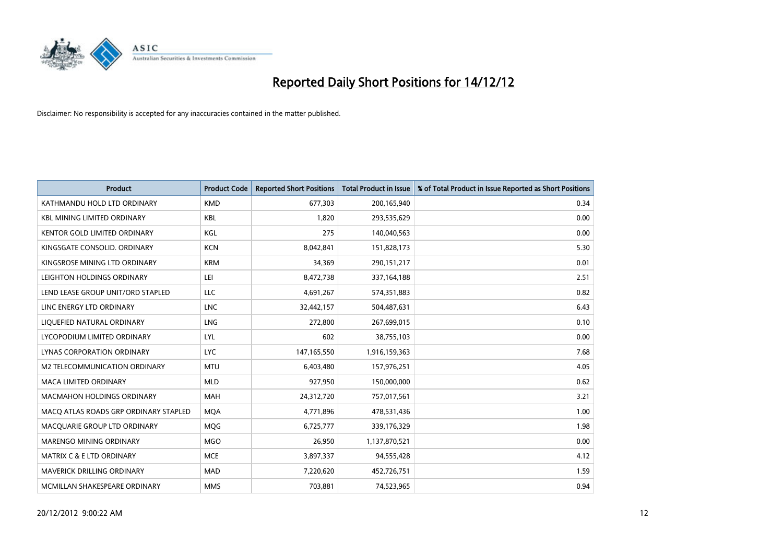

| <b>Product</b>                        | <b>Product Code</b> | <b>Reported Short Positions</b> | <b>Total Product in Issue</b> | % of Total Product in Issue Reported as Short Positions |
|---------------------------------------|---------------------|---------------------------------|-------------------------------|---------------------------------------------------------|
| KATHMANDU HOLD LTD ORDINARY           | <b>KMD</b>          | 677,303                         | 200,165,940                   | 0.34                                                    |
| <b>KBL MINING LIMITED ORDINARY</b>    | <b>KBL</b>          | 1,820                           | 293,535,629                   | 0.00                                                    |
| <b>KENTOR GOLD LIMITED ORDINARY</b>   | KGL                 | 275                             | 140,040,563                   | 0.00                                                    |
| KINGSGATE CONSOLID. ORDINARY          | <b>KCN</b>          | 8,042,841                       | 151,828,173                   | 5.30                                                    |
| KINGSROSE MINING LTD ORDINARY         | <b>KRM</b>          | 34,369                          | 290,151,217                   | 0.01                                                    |
| LEIGHTON HOLDINGS ORDINARY            | LEI                 | 8,472,738                       | 337,164,188                   | 2.51                                                    |
| LEND LEASE GROUP UNIT/ORD STAPLED     | LLC                 | 4,691,267                       | 574,351,883                   | 0.82                                                    |
| LINC ENERGY LTD ORDINARY              | <b>LNC</b>          | 32,442,157                      | 504,487,631                   | 6.43                                                    |
| LIQUEFIED NATURAL ORDINARY            | <b>LNG</b>          | 272,800                         | 267,699,015                   | 0.10                                                    |
| LYCOPODIUM LIMITED ORDINARY           | LYL                 | 602                             | 38,755,103                    | 0.00                                                    |
| LYNAS CORPORATION ORDINARY            | <b>LYC</b>          | 147,165,550                     | 1,916,159,363                 | 7.68                                                    |
| M2 TELECOMMUNICATION ORDINARY         | <b>MTU</b>          | 6,403,480                       | 157,976,251                   | 4.05                                                    |
| MACA LIMITED ORDINARY                 | <b>MLD</b>          | 927,950                         | 150,000,000                   | 0.62                                                    |
| <b>MACMAHON HOLDINGS ORDINARY</b>     | <b>MAH</b>          | 24,312,720                      | 757,017,561                   | 3.21                                                    |
| MACO ATLAS ROADS GRP ORDINARY STAPLED | <b>MOA</b>          | 4,771,896                       | 478,531,436                   | 1.00                                                    |
| MACQUARIE GROUP LTD ORDINARY          | <b>MOG</b>          | 6,725,777                       | 339,176,329                   | 1.98                                                    |
| MARENGO MINING ORDINARY               | <b>MGO</b>          | 26,950                          | 1,137,870,521                 | 0.00                                                    |
| <b>MATRIX C &amp; E LTD ORDINARY</b>  | <b>MCE</b>          | 3,897,337                       | 94,555,428                    | 4.12                                                    |
| <b>MAVERICK DRILLING ORDINARY</b>     | <b>MAD</b>          | 7,220,620                       | 452,726,751                   | 1.59                                                    |
| MCMILLAN SHAKESPEARE ORDINARY         | <b>MMS</b>          | 703.881                         | 74,523,965                    | 0.94                                                    |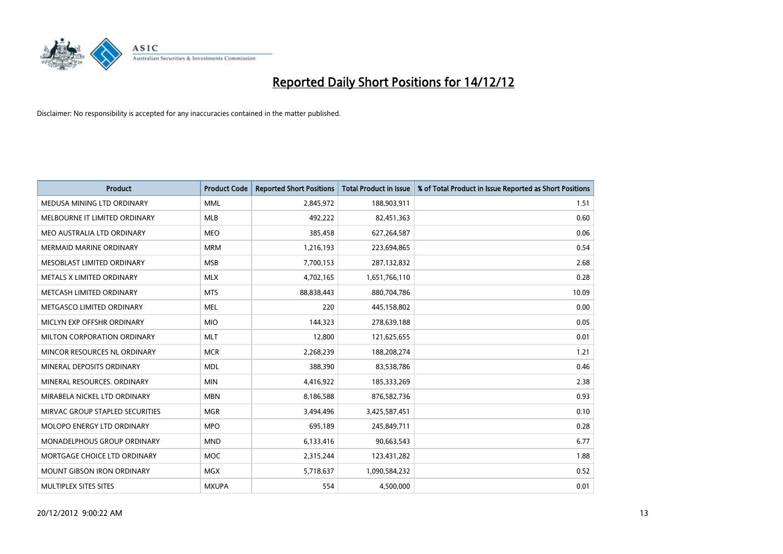

| <b>Product</b>                    | <b>Product Code</b> | <b>Reported Short Positions</b> | <b>Total Product in Issue</b> | % of Total Product in Issue Reported as Short Positions |
|-----------------------------------|---------------------|---------------------------------|-------------------------------|---------------------------------------------------------|
| MEDUSA MINING LTD ORDINARY        | <b>MML</b>          | 2,845,972                       | 188,903,911                   | 1.51                                                    |
| MELBOURNE IT LIMITED ORDINARY     | <b>MLB</b>          | 492,222                         | 82,451,363                    | 0.60                                                    |
| MEO AUSTRALIA LTD ORDINARY        | <b>MEO</b>          | 385,458                         | 627,264,587                   | 0.06                                                    |
| MERMAID MARINE ORDINARY           | <b>MRM</b>          | 1,216,193                       | 223,694,865                   | 0.54                                                    |
| MESOBLAST LIMITED ORDINARY        | <b>MSB</b>          | 7,700,153                       | 287,132,832                   | 2.68                                                    |
| METALS X LIMITED ORDINARY         | <b>MLX</b>          | 4,702,165                       | 1,651,766,110                 | 0.28                                                    |
| METCASH LIMITED ORDINARY          | <b>MTS</b>          | 88,838,443                      | 880,704,786                   | 10.09                                                   |
| METGASCO LIMITED ORDINARY         | <b>MEL</b>          | 220                             | 445,158,802                   | 0.00                                                    |
| MICLYN EXP OFFSHR ORDINARY        | <b>MIO</b>          | 144,323                         | 278,639,188                   | 0.05                                                    |
| MILTON CORPORATION ORDINARY       | <b>MLT</b>          | 12,800                          | 121,625,655                   | 0.01                                                    |
| MINCOR RESOURCES NL ORDINARY      | <b>MCR</b>          | 2,268,239                       | 188,208,274                   | 1.21                                                    |
| MINERAL DEPOSITS ORDINARY         | <b>MDL</b>          | 388,390                         | 83,538,786                    | 0.46                                                    |
| MINERAL RESOURCES, ORDINARY       | <b>MIN</b>          | 4,416,922                       | 185,333,269                   | 2.38                                                    |
| MIRABELA NICKEL LTD ORDINARY      | <b>MBN</b>          | 8,186,588                       | 876,582,736                   | 0.93                                                    |
| MIRVAC GROUP STAPLED SECURITIES   | <b>MGR</b>          | 3,494,496                       | 3,425,587,451                 | 0.10                                                    |
| <b>MOLOPO ENERGY LTD ORDINARY</b> | <b>MPO</b>          | 695,189                         | 245,849,711                   | 0.28                                                    |
| MONADELPHOUS GROUP ORDINARY       | <b>MND</b>          | 6,133,416                       | 90,663,543                    | 6.77                                                    |
| MORTGAGE CHOICE LTD ORDINARY      | <b>MOC</b>          | 2,315,244                       | 123,431,282                   | 1.88                                                    |
| <b>MOUNT GIBSON IRON ORDINARY</b> | <b>MGX</b>          | 5,718,637                       | 1,090,584,232                 | 0.52                                                    |
| MULTIPLEX SITES SITES             | <b>MXUPA</b>        | 554                             | 4,500,000                     | 0.01                                                    |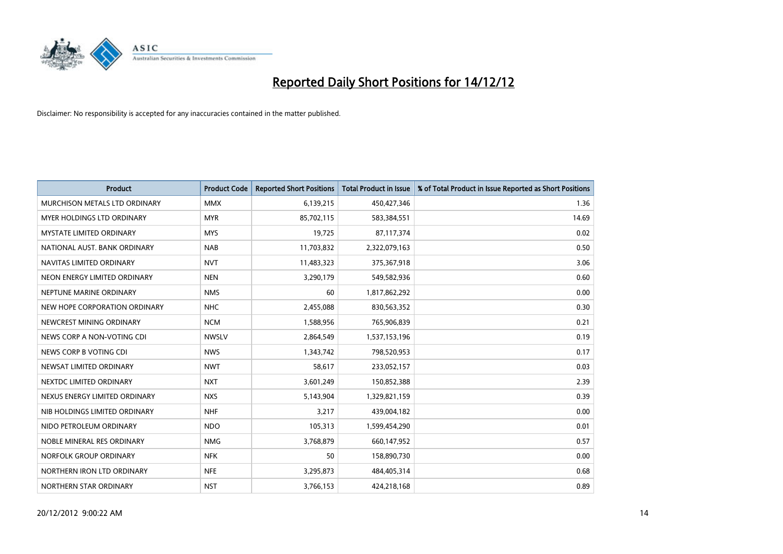

| <b>Product</b>                  | <b>Product Code</b> | <b>Reported Short Positions</b> | <b>Total Product in Issue</b> | % of Total Product in Issue Reported as Short Positions |
|---------------------------------|---------------------|---------------------------------|-------------------------------|---------------------------------------------------------|
| MURCHISON METALS LTD ORDINARY   | <b>MMX</b>          | 6,139,215                       | 450,427,346                   | 1.36                                                    |
| MYER HOLDINGS LTD ORDINARY      | <b>MYR</b>          | 85,702,115                      | 583,384,551                   | 14.69                                                   |
| <b>MYSTATE LIMITED ORDINARY</b> | <b>MYS</b>          | 19,725                          | 87,117,374                    | 0.02                                                    |
| NATIONAL AUST. BANK ORDINARY    | <b>NAB</b>          | 11,703,832                      | 2,322,079,163                 | 0.50                                                    |
| NAVITAS LIMITED ORDINARY        | <b>NVT</b>          | 11,483,323                      | 375,367,918                   | 3.06                                                    |
| NEON ENERGY LIMITED ORDINARY    | <b>NEN</b>          | 3,290,179                       | 549,582,936                   | 0.60                                                    |
| NEPTUNE MARINE ORDINARY         | <b>NMS</b>          | 60                              | 1,817,862,292                 | 0.00                                                    |
| NEW HOPE CORPORATION ORDINARY   | <b>NHC</b>          | 2,455,088                       | 830,563,352                   | 0.30                                                    |
| NEWCREST MINING ORDINARY        | <b>NCM</b>          | 1,588,956                       | 765,906,839                   | 0.21                                                    |
| NEWS CORP A NON-VOTING CDI      | <b>NWSLV</b>        | 2,864,549                       | 1,537,153,196                 | 0.19                                                    |
| NEWS CORP B VOTING CDI          | <b>NWS</b>          | 1,343,742                       | 798,520,953                   | 0.17                                                    |
| NEWSAT LIMITED ORDINARY         | <b>NWT</b>          | 58,617                          | 233,052,157                   | 0.03                                                    |
| NEXTDC LIMITED ORDINARY         | <b>NXT</b>          | 3,601,249                       | 150,852,388                   | 2.39                                                    |
| NEXUS ENERGY LIMITED ORDINARY   | <b>NXS</b>          | 5,143,904                       | 1,329,821,159                 | 0.39                                                    |
| NIB HOLDINGS LIMITED ORDINARY   | <b>NHF</b>          | 3,217                           | 439,004,182                   | 0.00                                                    |
| NIDO PETROLEUM ORDINARY         | <b>NDO</b>          | 105,313                         | 1,599,454,290                 | 0.01                                                    |
| NOBLE MINERAL RES ORDINARY      | <b>NMG</b>          | 3,768,879                       | 660,147,952                   | 0.57                                                    |
| NORFOLK GROUP ORDINARY          | <b>NFK</b>          | 50                              | 158,890,730                   | 0.00                                                    |
| NORTHERN IRON LTD ORDINARY      | <b>NFE</b>          | 3,295,873                       | 484,405,314                   | 0.68                                                    |
| NORTHERN STAR ORDINARY          | <b>NST</b>          | 3,766,153                       | 424,218,168                   | 0.89                                                    |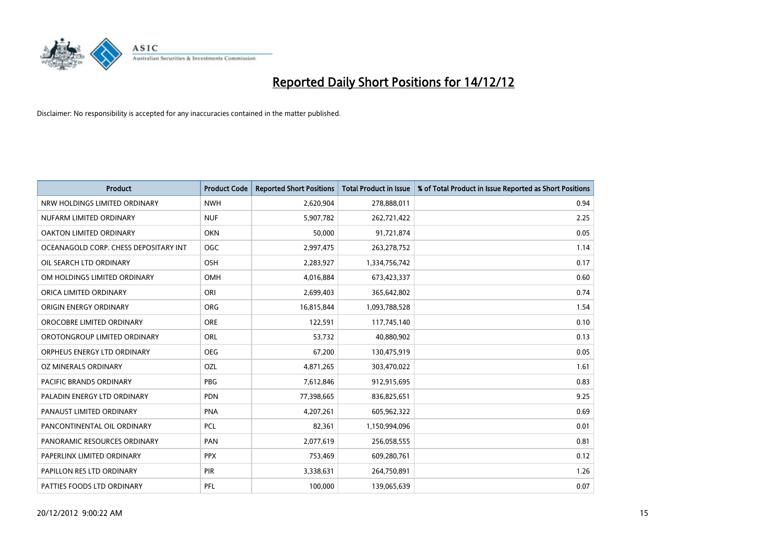

| <b>Product</b>                        | <b>Product Code</b> | <b>Reported Short Positions</b> | <b>Total Product in Issue</b> | % of Total Product in Issue Reported as Short Positions |
|---------------------------------------|---------------------|---------------------------------|-------------------------------|---------------------------------------------------------|
| NRW HOLDINGS LIMITED ORDINARY         | <b>NWH</b>          | 2,620,904                       | 278,888,011                   | 0.94                                                    |
| NUFARM LIMITED ORDINARY               | <b>NUF</b>          | 5,907,782                       | 262,721,422                   | 2.25                                                    |
| <b>OAKTON LIMITED ORDINARY</b>        | <b>OKN</b>          | 50,000                          | 91,721,874                    | 0.05                                                    |
| OCEANAGOLD CORP. CHESS DEPOSITARY INT | <b>OGC</b>          | 2,997,475                       | 263,278,752                   | 1.14                                                    |
| OIL SEARCH LTD ORDINARY               | <b>OSH</b>          | 2,283,927                       | 1,334,756,742                 | 0.17                                                    |
| OM HOLDINGS LIMITED ORDINARY          | <b>OMH</b>          | 4,016,884                       | 673,423,337                   | 0.60                                                    |
| ORICA LIMITED ORDINARY                | ORI                 | 2,699,403                       | 365,642,802                   | 0.74                                                    |
| ORIGIN ENERGY ORDINARY                | <b>ORG</b>          | 16,815,844                      | 1,093,788,528                 | 1.54                                                    |
| OROCOBRE LIMITED ORDINARY             | <b>ORE</b>          | 122,591                         | 117,745,140                   | 0.10                                                    |
| OROTONGROUP LIMITED ORDINARY          | <b>ORL</b>          | 53,732                          | 40,880,902                    | 0.13                                                    |
| ORPHEUS ENERGY LTD ORDINARY           | <b>OEG</b>          | 67,200                          | 130,475,919                   | 0.05                                                    |
| OZ MINERALS ORDINARY                  | OZL                 | 4,871,265                       | 303,470,022                   | 1.61                                                    |
| <b>PACIFIC BRANDS ORDINARY</b>        | <b>PBG</b>          | 7,612,846                       | 912,915,695                   | 0.83                                                    |
| PALADIN ENERGY LTD ORDINARY           | <b>PDN</b>          | 77,398,665                      | 836,825,651                   | 9.25                                                    |
| PANAUST LIMITED ORDINARY              | PNA                 | 4,207,261                       | 605,962,322                   | 0.69                                                    |
| PANCONTINENTAL OIL ORDINARY           | <b>PCL</b>          | 82,361                          | 1,150,994,096                 | 0.01                                                    |
| PANORAMIC RESOURCES ORDINARY          | PAN                 | 2,077,619                       | 256,058,555                   | 0.81                                                    |
| PAPERLINX LIMITED ORDINARY            | <b>PPX</b>          | 753,469                         | 609,280,761                   | 0.12                                                    |
| PAPILLON RES LTD ORDINARY             | <b>PIR</b>          | 3,338,631                       | 264,750,891                   | 1.26                                                    |
| PATTIES FOODS LTD ORDINARY            | PFL                 | 100.000                         | 139,065,639                   | 0.07                                                    |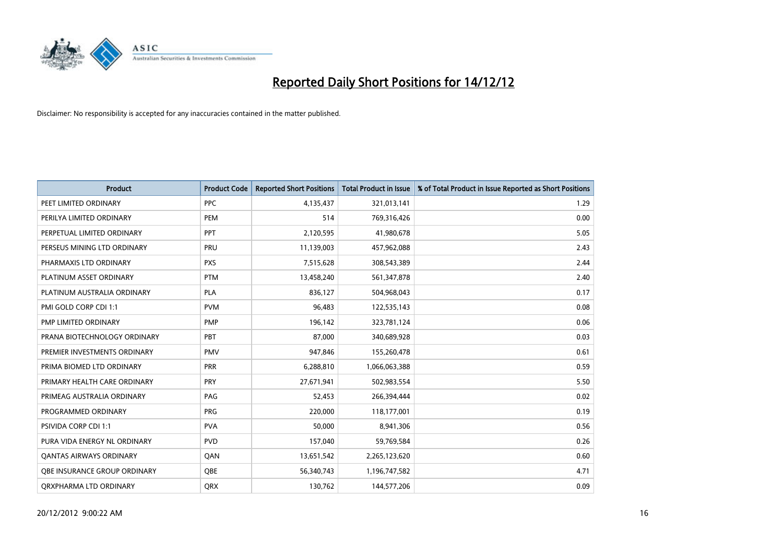

| <b>Product</b>                 | <b>Product Code</b> | <b>Reported Short Positions</b> | <b>Total Product in Issue</b> | % of Total Product in Issue Reported as Short Positions |
|--------------------------------|---------------------|---------------------------------|-------------------------------|---------------------------------------------------------|
| PEET LIMITED ORDINARY          | <b>PPC</b>          | 4,135,437                       | 321,013,141                   | 1.29                                                    |
| PERILYA LIMITED ORDINARY       | PEM                 | 514                             | 769,316,426                   | 0.00                                                    |
| PERPETUAL LIMITED ORDINARY     | <b>PPT</b>          | 2,120,595                       | 41,980,678                    | 5.05                                                    |
| PERSEUS MINING LTD ORDINARY    | PRU                 | 11,139,003                      | 457,962,088                   | 2.43                                                    |
| PHARMAXIS LTD ORDINARY         | <b>PXS</b>          | 7,515,628                       | 308,543,389                   | 2.44                                                    |
| PLATINUM ASSET ORDINARY        | <b>PTM</b>          | 13,458,240                      | 561,347,878                   | 2.40                                                    |
| PLATINUM AUSTRALIA ORDINARY    | <b>PLA</b>          | 836.127                         | 504,968,043                   | 0.17                                                    |
| PMI GOLD CORP CDI 1:1          | <b>PVM</b>          | 96,483                          | 122,535,143                   | 0.08                                                    |
| PMP LIMITED ORDINARY           | <b>PMP</b>          | 196,142                         | 323,781,124                   | 0.06                                                    |
| PRANA BIOTECHNOLOGY ORDINARY   | PBT                 | 87,000                          | 340,689,928                   | 0.03                                                    |
| PREMIER INVESTMENTS ORDINARY   | <b>PMV</b>          | 947,846                         | 155,260,478                   | 0.61                                                    |
| PRIMA BIOMED LTD ORDINARY      | PRR                 | 6,288,810                       | 1,066,063,388                 | 0.59                                                    |
| PRIMARY HEALTH CARE ORDINARY   | <b>PRY</b>          | 27,671,941                      | 502,983,554                   | 5.50                                                    |
| PRIMEAG AUSTRALIA ORDINARY     | PAG                 | 52,453                          | 266,394,444                   | 0.02                                                    |
| PROGRAMMED ORDINARY            | <b>PRG</b>          | 220,000                         | 118,177,001                   | 0.19                                                    |
| PSIVIDA CORP CDI 1:1           | <b>PVA</b>          | 50,000                          | 8,941,306                     | 0.56                                                    |
| PURA VIDA ENERGY NL ORDINARY   | <b>PVD</b>          | 157,040                         | 59,769,584                    | 0.26                                                    |
| <b>QANTAS AIRWAYS ORDINARY</b> | QAN                 | 13,651,542                      | 2,265,123,620                 | 0.60                                                    |
| OBE INSURANCE GROUP ORDINARY   | <b>OBE</b>          | 56,340,743                      | 1,196,747,582                 | 4.71                                                    |
| ORXPHARMA LTD ORDINARY         | <b>ORX</b>          | 130,762                         | 144,577,206                   | 0.09                                                    |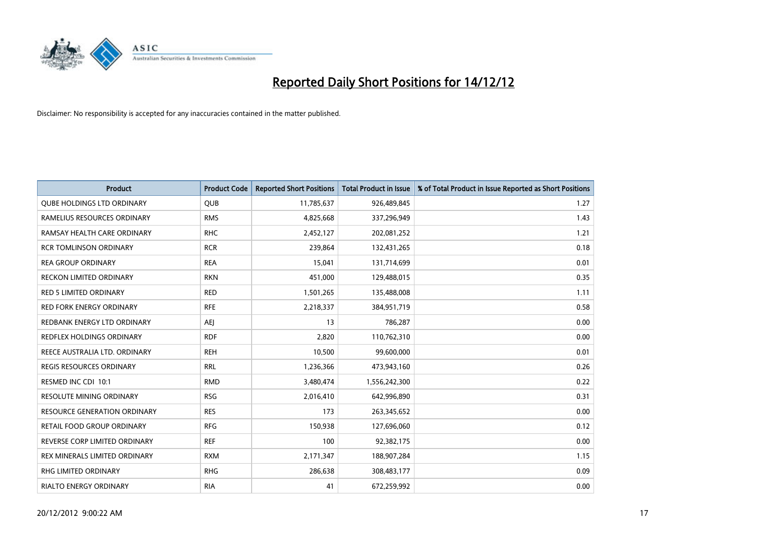

| <b>Product</b>                      | <b>Product Code</b> | <b>Reported Short Positions</b> | <b>Total Product in Issue</b> | % of Total Product in Issue Reported as Short Positions |
|-------------------------------------|---------------------|---------------------------------|-------------------------------|---------------------------------------------------------|
| <b>QUBE HOLDINGS LTD ORDINARY</b>   | <b>QUB</b>          | 11,785,637                      | 926,489,845                   | 1.27                                                    |
| RAMELIUS RESOURCES ORDINARY         | <b>RMS</b>          | 4,825,668                       | 337,296,949                   | 1.43                                                    |
| RAMSAY HEALTH CARE ORDINARY         | <b>RHC</b>          | 2,452,127                       | 202,081,252                   | 1.21                                                    |
| <b>RCR TOMLINSON ORDINARY</b>       | <b>RCR</b>          | 239,864                         | 132,431,265                   | 0.18                                                    |
| <b>REA GROUP ORDINARY</b>           | <b>REA</b>          | 15,041                          | 131,714,699                   | 0.01                                                    |
| <b>RECKON LIMITED ORDINARY</b>      | <b>RKN</b>          | 451,000                         | 129,488,015                   | 0.35                                                    |
| <b>RED 5 LIMITED ORDINARY</b>       | <b>RED</b>          | 1,501,265                       | 135,488,008                   | 1.11                                                    |
| <b>RED FORK ENERGY ORDINARY</b>     | <b>RFE</b>          | 2,218,337                       | 384,951,719                   | 0.58                                                    |
| REDBANK ENERGY LTD ORDINARY         | AEJ                 | 13                              | 786,287                       | 0.00                                                    |
| REDFLEX HOLDINGS ORDINARY           | <b>RDF</b>          | 2,820                           | 110,762,310                   | 0.00                                                    |
| REECE AUSTRALIA LTD. ORDINARY       | <b>REH</b>          | 10,500                          | 99,600,000                    | 0.01                                                    |
| <b>REGIS RESOURCES ORDINARY</b>     | <b>RRL</b>          | 1,236,366                       | 473,943,160                   | 0.26                                                    |
| RESMED INC CDI 10:1                 | <b>RMD</b>          | 3,480,474                       | 1,556,242,300                 | 0.22                                                    |
| <b>RESOLUTE MINING ORDINARY</b>     | <b>RSG</b>          | 2,016,410                       | 642,996,890                   | 0.31                                                    |
| <b>RESOURCE GENERATION ORDINARY</b> | <b>RES</b>          | 173                             | 263,345,652                   | 0.00                                                    |
| RETAIL FOOD GROUP ORDINARY          | <b>RFG</b>          | 150,938                         | 127,696,060                   | 0.12                                                    |
| REVERSE CORP LIMITED ORDINARY       | <b>REF</b>          | 100                             | 92,382,175                    | 0.00                                                    |
| REX MINERALS LIMITED ORDINARY       | <b>RXM</b>          | 2,171,347                       | 188,907,284                   | 1.15                                                    |
| <b>RHG LIMITED ORDINARY</b>         | <b>RHG</b>          | 286,638                         | 308,483,177                   | 0.09                                                    |
| <b>RIALTO ENERGY ORDINARY</b>       | <b>RIA</b>          | 41                              | 672.259.992                   | 0.00                                                    |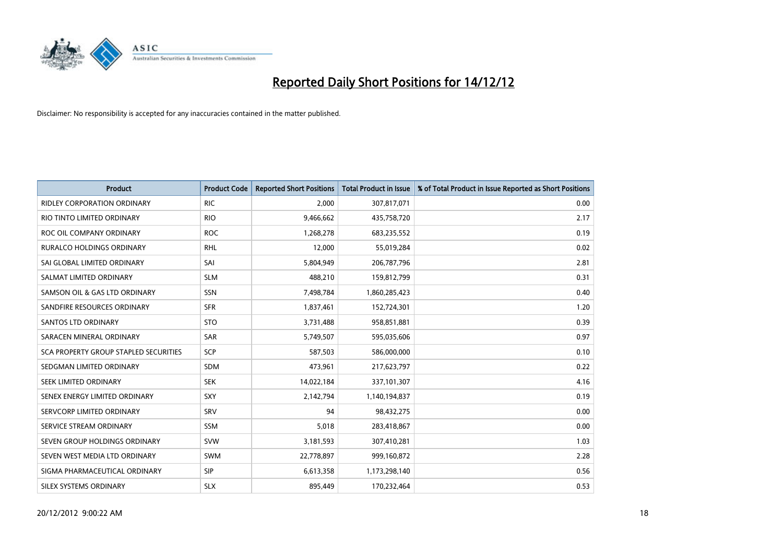

| <b>Product</b>                        | <b>Product Code</b> | <b>Reported Short Positions</b> | <b>Total Product in Issue</b> | % of Total Product in Issue Reported as Short Positions |
|---------------------------------------|---------------------|---------------------------------|-------------------------------|---------------------------------------------------------|
| <b>RIDLEY CORPORATION ORDINARY</b>    | <b>RIC</b>          | 2,000                           | 307,817,071                   | 0.00                                                    |
| RIO TINTO LIMITED ORDINARY            | <b>RIO</b>          | 9,466,662                       | 435,758,720                   | 2.17                                                    |
| ROC OIL COMPANY ORDINARY              | <b>ROC</b>          | 1,268,278                       | 683,235,552                   | 0.19                                                    |
| <b>RURALCO HOLDINGS ORDINARY</b>      | <b>RHL</b>          | 12,000                          | 55,019,284                    | 0.02                                                    |
| SAI GLOBAL LIMITED ORDINARY           | SAI                 | 5,804,949                       | 206,787,796                   | 2.81                                                    |
| SALMAT LIMITED ORDINARY               | <b>SLM</b>          | 488,210                         | 159,812,799                   | 0.31                                                    |
| SAMSON OIL & GAS LTD ORDINARY         | SSN                 | 7,498,784                       | 1,860,285,423                 | 0.40                                                    |
| SANDFIRE RESOURCES ORDINARY           | <b>SFR</b>          | 1,837,461                       | 152,724,301                   | 1.20                                                    |
| SANTOS LTD ORDINARY                   | <b>STO</b>          | 3,731,488                       | 958,851,881                   | 0.39                                                    |
| SARACEN MINERAL ORDINARY              | <b>SAR</b>          | 5,749,507                       | 595,035,606                   | 0.97                                                    |
| SCA PROPERTY GROUP STAPLED SECURITIES | SCP                 | 587,503                         | 586,000,000                   | 0.10                                                    |
| SEDGMAN LIMITED ORDINARY              | <b>SDM</b>          | 473,961                         | 217,623,797                   | 0.22                                                    |
| <b>SEEK LIMITED ORDINARY</b>          | <b>SEK</b>          | 14,022,184                      | 337,101,307                   | 4.16                                                    |
| SENEX ENERGY LIMITED ORDINARY         | <b>SXY</b>          | 2,142,794                       | 1,140,194,837                 | 0.19                                                    |
| SERVCORP LIMITED ORDINARY             | SRV                 | 94                              | 98,432,275                    | 0.00                                                    |
| SERVICE STREAM ORDINARY               | <b>SSM</b>          | 5,018                           | 283,418,867                   | 0.00                                                    |
| SEVEN GROUP HOLDINGS ORDINARY         | <b>SVW</b>          | 3,181,593                       | 307,410,281                   | 1.03                                                    |
| SEVEN WEST MEDIA LTD ORDINARY         | <b>SWM</b>          | 22,778,897                      | 999,160,872                   | 2.28                                                    |
| SIGMA PHARMACEUTICAL ORDINARY         | <b>SIP</b>          | 6,613,358                       | 1,173,298,140                 | 0.56                                                    |
| SILEX SYSTEMS ORDINARY                | <b>SLX</b>          | 895,449                         | 170,232,464                   | 0.53                                                    |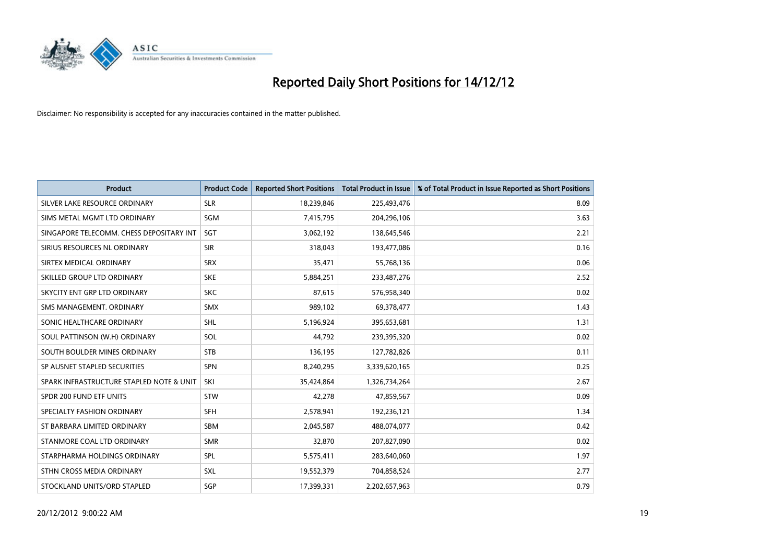

| <b>Product</b>                           | <b>Product Code</b> | <b>Reported Short Positions</b> | <b>Total Product in Issue</b> | % of Total Product in Issue Reported as Short Positions |
|------------------------------------------|---------------------|---------------------------------|-------------------------------|---------------------------------------------------------|
| SILVER LAKE RESOURCE ORDINARY            | <b>SLR</b>          | 18,239,846                      | 225,493,476                   | 8.09                                                    |
| SIMS METAL MGMT LTD ORDINARY             | <b>SGM</b>          | 7,415,795                       | 204,296,106                   | 3.63                                                    |
| SINGAPORE TELECOMM. CHESS DEPOSITARY INT | SGT                 | 3,062,192                       | 138,645,546                   | 2.21                                                    |
| SIRIUS RESOURCES NL ORDINARY             | <b>SIR</b>          | 318,043                         | 193,477,086                   | 0.16                                                    |
| SIRTEX MEDICAL ORDINARY                  | <b>SRX</b>          | 35,471                          | 55,768,136                    | 0.06                                                    |
| SKILLED GROUP LTD ORDINARY               | <b>SKE</b>          | 5,884,251                       | 233,487,276                   | 2.52                                                    |
| SKYCITY ENT GRP LTD ORDINARY             | <b>SKC</b>          | 87,615                          | 576,958,340                   | 0.02                                                    |
| SMS MANAGEMENT, ORDINARY                 | <b>SMX</b>          | 989,102                         | 69,378,477                    | 1.43                                                    |
| SONIC HEALTHCARE ORDINARY                | <b>SHL</b>          | 5,196,924                       | 395,653,681                   | 1.31                                                    |
| SOUL PATTINSON (W.H) ORDINARY            | SOL                 | 44,792                          | 239,395,320                   | 0.02                                                    |
| SOUTH BOULDER MINES ORDINARY             | <b>STB</b>          | 136,195                         | 127,782,826                   | 0.11                                                    |
| SP AUSNET STAPLED SECURITIES             | <b>SPN</b>          | 8,240,295                       | 3,339,620,165                 | 0.25                                                    |
| SPARK INFRASTRUCTURE STAPLED NOTE & UNIT | SKI                 | 35,424,864                      | 1,326,734,264                 | 2.67                                                    |
| SPDR 200 FUND ETF UNITS                  | <b>STW</b>          | 42,278                          | 47,859,567                    | 0.09                                                    |
| SPECIALTY FASHION ORDINARY               | <b>SFH</b>          | 2,578,941                       | 192,236,121                   | 1.34                                                    |
| ST BARBARA LIMITED ORDINARY              | <b>SBM</b>          | 2,045,587                       | 488,074,077                   | 0.42                                                    |
| STANMORE COAL LTD ORDINARY               | <b>SMR</b>          | 32,870                          | 207,827,090                   | 0.02                                                    |
| STARPHARMA HOLDINGS ORDINARY             | <b>SPL</b>          | 5,575,411                       | 283,640,060                   | 1.97                                                    |
| STHN CROSS MEDIA ORDINARY                | <b>SXL</b>          | 19,552,379                      | 704,858,524                   | 2.77                                                    |
| STOCKLAND UNITS/ORD STAPLED              | SGP                 | 17,399,331                      | 2,202,657,963                 | 0.79                                                    |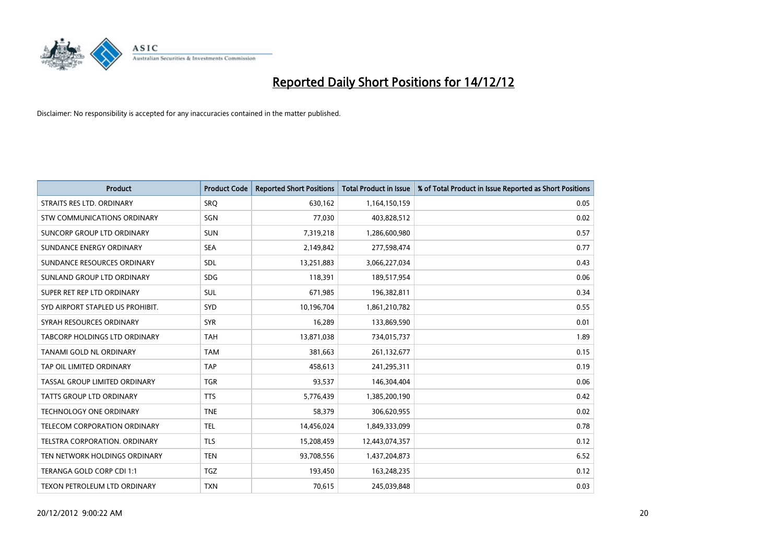

| <b>Product</b>                       | <b>Product Code</b> | <b>Reported Short Positions</b> | <b>Total Product in Issue</b> | % of Total Product in Issue Reported as Short Positions |
|--------------------------------------|---------------------|---------------------------------|-------------------------------|---------------------------------------------------------|
| STRAITS RES LTD. ORDINARY            | SRQ                 | 630,162                         | 1,164,150,159                 | 0.05                                                    |
| STW COMMUNICATIONS ORDINARY          | SGN                 | 77,030                          | 403,828,512                   | 0.02                                                    |
| SUNCORP GROUP LTD ORDINARY           | <b>SUN</b>          | 7,319,218                       | 1,286,600,980                 | 0.57                                                    |
| SUNDANCE ENERGY ORDINARY             | <b>SEA</b>          | 2,149,842                       | 277,598,474                   | 0.77                                                    |
| SUNDANCE RESOURCES ORDINARY          | <b>SDL</b>          | 13,251,883                      | 3,066,227,034                 | 0.43                                                    |
| SUNLAND GROUP LTD ORDINARY           | <b>SDG</b>          | 118,391                         | 189,517,954                   | 0.06                                                    |
| SUPER RET REP LTD ORDINARY           | <b>SUL</b>          | 671,985                         | 196,382,811                   | 0.34                                                    |
| SYD AIRPORT STAPLED US PROHIBIT.     | <b>SYD</b>          | 10,196,704                      | 1,861,210,782                 | 0.55                                                    |
| SYRAH RESOURCES ORDINARY             | <b>SYR</b>          | 16,289                          | 133,869,590                   | 0.01                                                    |
| <b>TABCORP HOLDINGS LTD ORDINARY</b> | <b>TAH</b>          | 13,871,038                      | 734,015,737                   | 1.89                                                    |
| TANAMI GOLD NL ORDINARY              | <b>TAM</b>          | 381,663                         | 261,132,677                   | 0.15                                                    |
| TAP OIL LIMITED ORDINARY             | <b>TAP</b>          | 458,613                         | 241,295,311                   | 0.19                                                    |
| TASSAL GROUP LIMITED ORDINARY        | <b>TGR</b>          | 93,537                          | 146,304,404                   | 0.06                                                    |
| <b>TATTS GROUP LTD ORDINARY</b>      | <b>TTS</b>          | 5,776,439                       | 1,385,200,190                 | 0.42                                                    |
| <b>TECHNOLOGY ONE ORDINARY</b>       | <b>TNE</b>          | 58,379                          | 306,620,955                   | 0.02                                                    |
| TELECOM CORPORATION ORDINARY         | <b>TEL</b>          | 14,456,024                      | 1,849,333,099                 | 0.78                                                    |
| TELSTRA CORPORATION. ORDINARY        | <b>TLS</b>          | 15,208,459                      | 12,443,074,357                | 0.12                                                    |
| TEN NETWORK HOLDINGS ORDINARY        | <b>TEN</b>          | 93,708,556                      | 1,437,204,873                 | 6.52                                                    |
| TERANGA GOLD CORP CDI 1:1            | <b>TGZ</b>          | 193,450                         | 163,248,235                   | 0.12                                                    |
| TEXON PETROLEUM LTD ORDINARY         | <b>TXN</b>          | 70,615                          | 245,039,848                   | 0.03                                                    |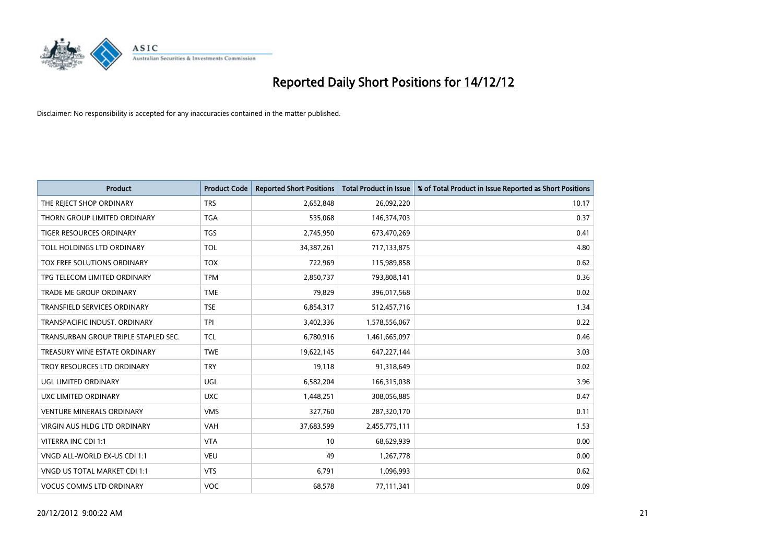

| <b>Product</b>                       | <b>Product Code</b> | <b>Reported Short Positions</b> | <b>Total Product in Issue</b> | % of Total Product in Issue Reported as Short Positions |
|--------------------------------------|---------------------|---------------------------------|-------------------------------|---------------------------------------------------------|
| THE REJECT SHOP ORDINARY             | <b>TRS</b>          | 2,652,848                       | 26,092,220                    | 10.17                                                   |
| THORN GROUP LIMITED ORDINARY         | <b>TGA</b>          | 535,068                         | 146,374,703                   | 0.37                                                    |
| <b>TIGER RESOURCES ORDINARY</b>      | <b>TGS</b>          | 2,745,950                       | 673,470,269                   | 0.41                                                    |
| TOLL HOLDINGS LTD ORDINARY           | <b>TOL</b>          | 34, 387, 261                    | 717,133,875                   | 4.80                                                    |
| <b>TOX FREE SOLUTIONS ORDINARY</b>   | <b>TOX</b>          | 722,969                         | 115,989,858                   | 0.62                                                    |
| TPG TELECOM LIMITED ORDINARY         | <b>TPM</b>          | 2,850,737                       | 793,808,141                   | 0.36                                                    |
| <b>TRADE ME GROUP ORDINARY</b>       | <b>TME</b>          | 79.829                          | 396,017,568                   | 0.02                                                    |
| TRANSFIELD SERVICES ORDINARY         | <b>TSE</b>          | 6,854,317                       | 512,457,716                   | 1.34                                                    |
| TRANSPACIFIC INDUST. ORDINARY        | <b>TPI</b>          | 3,402,336                       | 1,578,556,067                 | 0.22                                                    |
| TRANSURBAN GROUP TRIPLE STAPLED SEC. | <b>TCL</b>          | 6,780,916                       | 1,461,665,097                 | 0.46                                                    |
| TREASURY WINE ESTATE ORDINARY        | <b>TWE</b>          | 19,622,145                      | 647,227,144                   | 3.03                                                    |
| TROY RESOURCES LTD ORDINARY          | <b>TRY</b>          | 19,118                          | 91,318,649                    | 0.02                                                    |
| UGL LIMITED ORDINARY                 | UGL                 | 6,582,204                       | 166,315,038                   | 3.96                                                    |
| <b>UXC LIMITED ORDINARY</b>          | <b>UXC</b>          | 1,448,251                       | 308,056,885                   | 0.47                                                    |
| <b>VENTURE MINERALS ORDINARY</b>     | <b>VMS</b>          | 327,760                         | 287,320,170                   | 0.11                                                    |
| VIRGIN AUS HLDG LTD ORDINARY         | VAH                 | 37,683,599                      | 2,455,775,111                 | 1.53                                                    |
| VITERRA INC CDI 1:1                  | <b>VTA</b>          | 10                              | 68,629,939                    | 0.00                                                    |
| VNGD ALL-WORLD EX-US CDI 1:1         | <b>VEU</b>          | 49                              | 1,267,778                     | 0.00                                                    |
| VNGD US TOTAL MARKET CDI 1:1         | <b>VTS</b>          | 6,791                           | 1,096,993                     | 0.62                                                    |
| <b>VOCUS COMMS LTD ORDINARY</b>      | <b>VOC</b>          | 68,578                          | 77,111,341                    | 0.09                                                    |